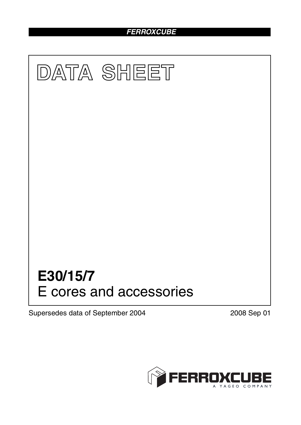# *FERROXCUBE*



Supersedes data of September 2004 2008 Sep 01

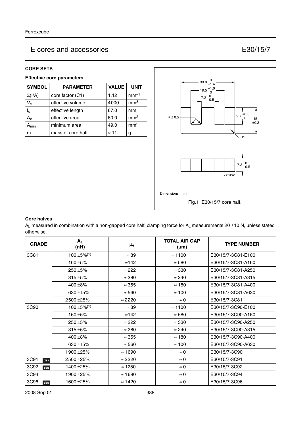### **CORE SETS**

#### **Effective core parameters**

| <b>SYMBOL</b>  | <b>PARAMETER</b>  | <b>VALUE</b> | <b>UNIT</b>     |
|----------------|-------------------|--------------|-----------------|
| $\Sigma(I/A)$  | core factor (C1)  | 1.12         | $mm-1$          |
| $V_{e}$        | effective volume  | 4000         | mm <sup>3</sup> |
| l <sub>e</sub> | effective length  | 67.0         | mm              |
| $A_{\rm e}$    | effective area    | 60.0         | mm <sup>2</sup> |
| min            | minimum area      | 49.0         | mm <sup>2</sup> |
| m              | mass of core half | $\approx$ 11 |                 |



#### **Core halves**

 $A_L$  measured in combination with a non-gapped core half, clamping force for  $A_L$  measurements 20 ±10 N, unless stated otherwise.

| <b>GRADE</b> | $A_L$<br>(nH)                | μ <sub>e</sub> | <b>TOTAL AIR GAP</b><br>$(\mu m)$ | <b>TYPE NUMBER</b> |
|--------------|------------------------------|----------------|-----------------------------------|--------------------|
| 3C81         | $100 \pm 5\%$ <sup>(1)</sup> | $\approx 89$   | $\approx 1100$                    | E30/15/7-3C81-E100 |
|              | 160 ±5%                      | $\approx$ 142  | $\approx 580$                     | E30/15/7-3C81-A160 |
|              | 250 ±5%                      | $\approx 222$  | $\approx 330$                     | E30/15/7-3C81-A250 |
|              | $315 + 5%$                   | $\approx$ 280  | $\approx 240$                     | E30/15/7-3C81-A315 |
|              | 400 $\pm$ 8%                 | $\approx$ 355  | $\approx$ 180                     | E30/15/7-3C81-A400 |
|              | $630 + 15%$                  | $\approx$ 560  | $\approx 100$                     | E30/15/7-3C81-A630 |
|              | 2500 ± 25%                   | $\approx$ 2220 | $\approx 0$                       | E30/15/7-3C81      |
| 3C90         | 100 $\pm$ 5% <sup>(1)</sup>  | $\approx 89$   | $\approx 1100$                    | E30/15/7-3C90-E100 |
|              | 160 ±5%                      | $\approx$ 142  | $\approx 580$                     | E30/15/7-3C90-A160 |
|              | $250 + 5%$                   | $\approx$ 222  | $\approx 330$                     | E30/15/7-3C90-A250 |
|              | $315 + 5%$                   | $\approx 280$  | $\approx 240$                     | E30/15/7-3C90-A315 |
|              | $400 + 8\%$                  | $\approx$ 355  | $\approx$ 180                     | E30/15/7-3C90-A400 |
|              | 630 $\pm$ 15%                | $\approx$ 560  | $\approx$ 100                     | E30/15/7-3C90-A630 |
|              | 1900 ± 25%                   | $\approx 1690$ | $\approx 0$                       | E30/15/7-3C90      |
| 3C91<br>des  | 2500 ± 25%                   | $\approx$ 2220 | $\approx 0$                       | E30/15/7-3C91      |
| 3C92<br>des  | 1400 ± 25%                   | $\approx$ 1250 | $\approx 0$                       | E30/15/7-3C92      |
| 3C94         | 1900 ± 25%                   | $\approx 1690$ | $\approx 0$                       | E30/15/7-3C94      |
| 3C96<br>des  | 1600 ±25%                    | $\approx$ 1420 | $\approx 0$                       | E30/15/7-3C96      |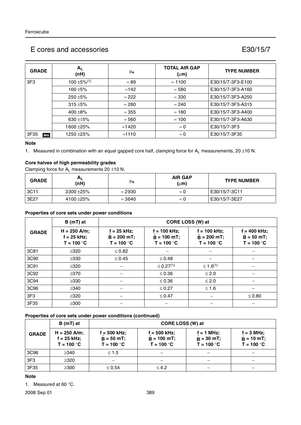| <b>GRADE</b>    | $A_L$<br>(nH)                | $\mu_{\mathbf{e}}$ | <b>TOTAL AIR GAP</b><br>$(\mu m)$ | <b>TYPE NUMBER</b> |
|-----------------|------------------------------|--------------------|-----------------------------------|--------------------|
| 3F <sub>3</sub> | $100 \pm 5\%$ <sup>(1)</sup> | $\approx 89$       | $\approx$ 1100                    | E30/15/7-3F3-E100  |
|                 | 160 ±5%                      | $\approx$ 142      | $\approx 580$                     | E30/15/7-3F3-A160  |
|                 | $250 + 5%$                   | $\approx$ 222      | $\approx 330$                     | E30/15/7-3F3-A250  |
|                 | $315 + 5%$                   | $\approx 280$      | $\approx 240$                     | E30/15/7-3F3-A315  |
|                 | $400 + 8%$                   | $\approx 355$      | $\approx$ 180                     | E30/15/7-3F3-A400  |
|                 | 630 ±15%                     | $\approx 560$      | $\approx$ 100                     | E30/15/7-3F3-A630  |
|                 | 1600 ± 25%                   | $\approx$ 1420     | $\approx 0$                       | E30/15/7-3F3       |
| 3F35<br>des     | 1250 ±25%                    | $\approx$ 1110     | $\approx 0$                       | E30/15/7-3F35      |

#### **Note**

1. Measured in combination with an equal gapped core half, clamping force for  $A_L$  measurements, 20 ±10 N.

### **Core halves of high permeability grades**

Clamping force for  $A_L$  measurements 20  $\pm$ 10 N.

| <b>GRADE</b> | $A_L$<br>(nH) | μe             | <b>AIR GAP</b><br>$(\mu m)$ | <b>TYPE NUMBER</b> |
|--------------|---------------|----------------|-----------------------------|--------------------|
| 3C11         | $3300 + 25\%$ | $\approx$ 2930 | $\approx$ 6                 | E30/15/7-3C11      |
| <b>3E27</b>  | 4100 ±25%     | $\approx$ 3640 | $\approx$ L                 | E30/15/7-3E27      |

#### **Properties of core sets under power conditions**

| $B(mT)$ at      |                                                 | CORE LOSS (W) at                              |                                                 |                                                  |                                                |  |
|-----------------|-------------------------------------------------|-----------------------------------------------|-------------------------------------------------|--------------------------------------------------|------------------------------------------------|--|
| <b>GRADE</b>    | $H = 250$ A/m;<br>$f = 25$ kHz;<br>$T = 100 °C$ | f = 25 kHz;<br>$B = 200 mT$ ;<br>$T = 100 °C$ | $f = 100$ kHz;<br>$B = 100$ mT;<br>$T = 100 °C$ | $f = 100$ kHz;<br>$B = 200 mT$ ;<br>$T = 100 °C$ | $f = 400$ kHz;<br>$B = 50 mT;$<br>$T = 100 °C$ |  |
| 3C81            | $\geq 320$                                      | $\leq 0.82$                                   |                                                 |                                                  |                                                |  |
| 3C90            | $\geq 330$                                      | $\leq 0.45$                                   | $\leq 0.48$                                     |                                                  |                                                |  |
| 3C91            | $\geq 320$                                      |                                               | $\leq$ 0.27 <sup>(1)</sup>                      | ≤ 1.6 <sup>(1)</sup>                             |                                                |  |
| 3C92            | $\geq$ 370                                      |                                               | $\leq 0.36$                                     | $\leq 2.0$                                       |                                                |  |
| 3C94            | $\geq$ 330                                      |                                               | $\leq 0.36$                                     | $\leq 2.0$                                       |                                                |  |
| 3C96            | $\geq$ 340                                      |                                               | $\leq 0.27$                                     | $≤ 1.6$                                          |                                                |  |
| 3F <sub>3</sub> | $\geq 320$                                      |                                               | $\leq 0.47$                                     |                                                  | $\leq 0.80$                                    |  |
| 3F35            | $\geq 300$                                      |                                               |                                                 |                                                  |                                                |  |

#### **Properties of core sets under power conditions (continued)**

|                 | $B(mT)$ at                                      | CORE LOSS (W) at                             |                                                 |                                              |                                               |  |
|-----------------|-------------------------------------------------|----------------------------------------------|-------------------------------------------------|----------------------------------------------|-----------------------------------------------|--|
| <b>GRADE</b>    | $H = 250$ A/m;<br>$f = 25$ kHz;<br>$T = 100 °C$ | f = 500 kHz;<br>$B = 50 mT;$<br>$T = 100 °C$ | $f = 500$ kHz;<br>$B = 100$ mT;<br>$T = 100 °C$ | $f = 1$ MHz;<br>$B = 30$ mT;<br>$T = 100 °C$ | $f = 3 MHz$ ;<br>$B = 10$ mT;<br>$T = 100 °C$ |  |
| 3C96            | $\geq$ 340                                      | $\leq 1.5$                                   |                                                 |                                              |                                               |  |
| 3F <sub>3</sub> | $\geq$ 320                                      |                                              |                                                 |                                              |                                               |  |
| 3F35            | $\geq$ 300                                      | $\leq 0.54$                                  | $\leq 4.2$                                      |                                              |                                               |  |

### **Note**

1. Measured at 60 °C.

2008 Sep 01 389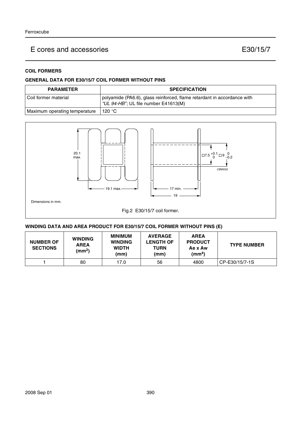### **COIL FORMERS**

#### **GENERAL DATA FOR E30/15/7 COIL FORMER WITHOUT PINS**

| <b>PARAMETER</b>              | <b>SPECIFICATION</b>                                                                                            |
|-------------------------------|-----------------------------------------------------------------------------------------------------------------|
| l Coil former material        | polyamide (PA6.6), glass reinforced, flame retardant in accordance with<br>"UL 94-HB"; UL file number E41613(M) |
| Maximum operating temperature | 120 °C                                                                                                          |



#### **WINDING DATA AND AREA PRODUCT FOR E30/15/7 COIL FORMER WITHOUT PINS (E)**

| <b>NUMBER OF</b><br><b>SECTIONS</b> | <b>WINDING</b><br><b>AREA</b><br>(mm <sup>2</sup> ) | <b>MINIMUM</b><br><b>WINDING</b><br><b>WIDTH</b><br>(mm) | <b>AVERAGE</b><br><b>LENGTH OF</b><br>TURN<br>(mm) | <b>AREA</b><br><b>PRODUCT</b><br>Ae x Aw<br>(mm <sup>4</sup> ) | <b>TYPE NUMBER</b> |
|-------------------------------------|-----------------------------------------------------|----------------------------------------------------------|----------------------------------------------------|----------------------------------------------------------------|--------------------|
|                                     | 80                                                  | 17.0                                                     | 56                                                 | 4800                                                           | CP-E30/15/7-1S     |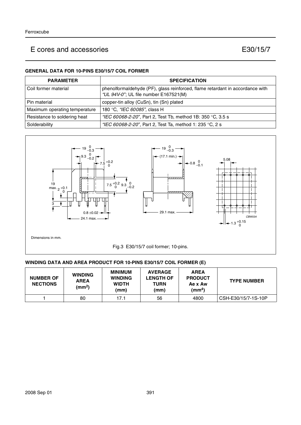#### **GENERAL DATA FOR 10-PINS E30/15/7 COIL FORMER**

| <b>PARAMETER</b>              | <b>SPECIFICATION</b>                                                                                                   |
|-------------------------------|------------------------------------------------------------------------------------------------------------------------|
| l Coil former material        | phenolformaldehyde (PF), glass reinforced, flame retardant in accordance with<br>"UL 94V-0"; UL file number E167521(M) |
| l Pin material                | copper-tin alloy (CuSn), tin (Sn) plated                                                                               |
| Maximum operating temperature | 180 °C, "IEC 60085", class H                                                                                           |
| Resistance to soldering heat  | "IEC 60068-2-20", Part 2, Test Tb, method 1B: 350 °C, 3.5 s                                                            |
| Solderability                 | "IEC 60068-2-20", Part 2, Test Ta, method 1: 235 °C, 2 s                                                               |



#### **WINDING DATA AND AREA PRODUCT FOR 10-PINS E30/15/7 COIL FORMER (E)**

| <b>NUMBER OF</b><br><b>NECTIONS</b> | <b>WINDING</b><br><b>AREA</b><br>(mm <sup>2</sup> ) | MINIMUM<br><b>WINDING</b><br><b>WIDTH</b><br>(mm) | <b>AVERAGE</b><br><b>LENGTH OF</b><br>TURN<br>(mm) | <b>AREA</b><br><b>PRODUCT</b><br>Ae x Aw<br>(mm <sup>4</sup> ) | <b>TYPE NUMBER</b>  |
|-------------------------------------|-----------------------------------------------------|---------------------------------------------------|----------------------------------------------------|----------------------------------------------------------------|---------------------|
|                                     | 80                                                  | 17.1                                              | 56                                                 | 4800                                                           | CSH-E30/15/7-1S-10P |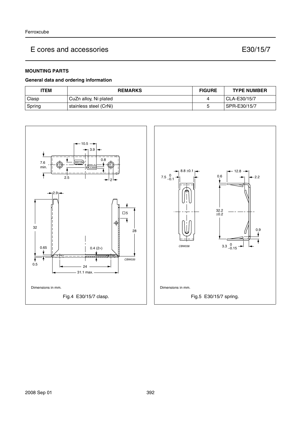### **MOUNTING PARTS**

#### **General data and ordering information**

| <b>TEM</b> | <b>REMARKS</b>         | <b>FIGURE</b> | <b>TYPE NUMBER</b> |
|------------|------------------------|---------------|--------------------|
| Clasp      | CuZn alloy, Ni plated  | д             | CLA-E30/15/7       |
| Spring     | stainless steel (CrNi) | r<br>u        | SPR-E30/15/7       |